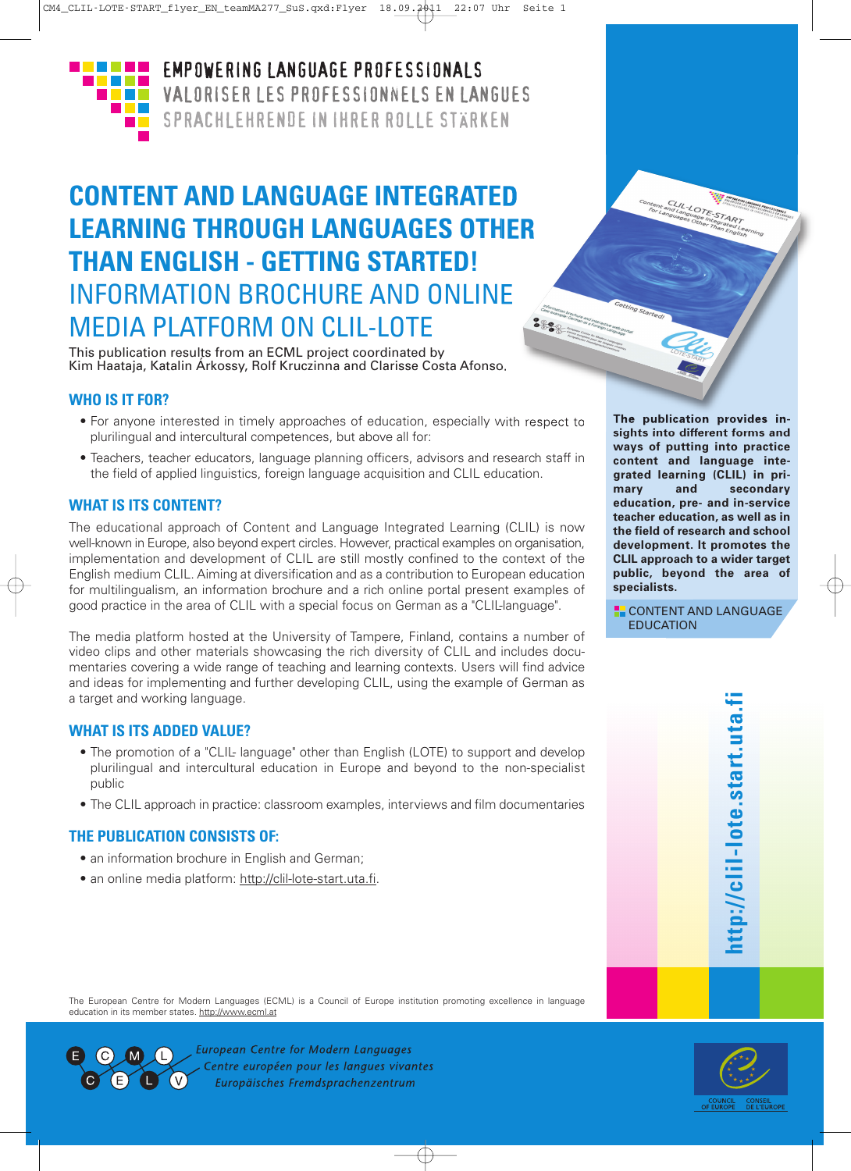

**EMPOWERING LANGUAGE PROFESSIONALS** VALORISER LES PROFESSIONNELS EN LANGUES SPRACHLEHRENDE IN IHRER ROLLE STÄRKEN

# **CONTENT AND LANGUAGE INTEGRATED LEARNING THROUGH LANGUAGES OTHER THAN ENGLISH - GETTING STARTED!** INFORMATION BROCHURE AND ONLINE MEDIA PLATFORM ON CLIL-LOTE

This publication results from an ECML project coordinated by Kim Haataja, Katalin Árkossy, Rolf Kruczinna and Clarisse Costa Afonso.

# **WHO IS IT FOR?**

- For anyone interested in timely approaches of education, especially with respect to plurilingual and intercultural competences, but above all for:
- Teachers, teacher educators, language planning officers, advisors and research staff in the field of applied linguistics, foreign language acquisition and CLIL education.

# **WHAT IS ITS CONTENT?**

The educational approach of Content and Language Integrated Learning (CLIL) is now well-known in Europe, also beyond expert circles. However, practical examples on organisation, implementation and development of CLIL are still mostly confined to the context of the English medium CLIL. Aiming at diversification and as a contribution to European education for multilingualism, an information brochure and a rich online portal present examples of good practice in the area of CLIL with a special focus on German as a "CLIL-language".

The media platform hosted at the University of Tampere, Finland, contains a number of video clips and other materials showcasing the rich diversity of CLIL and includes documentaries covering a wide range of teaching and learning contexts. Users will find advice and ideas for implementing and further developing CLIL, using the example of German as a target and working language.

### **WHAT IS ITS ADDED VALUE?**

- The promotion of a "CLIL- language" other than English (LOTE) to support and develop plurilingual and intercultural education in Europe and beyond to the non-specialist public
- The CLIL approach in practice: classroom examples, interviews and film documentaries

### **THE PUBLICATION CONSISTS OF:**

- an information brochure in English and German;
- an online media platform: http://clil-lote-start.uta.fi.

**The publication provides insights into different forms and ways of putting into practice content and language integrated learning (CLIL) in primary and secondary education, pre- and in-service teacher education, as well as in the field of research and school development. It promotes the CLIL approach to a wider target public, beyond the area of specialists.**

ALL-LOTE-START

**CONTENT AND LANGUAGE EDUCATION** 

The European Centre for Modern Languages (ECML) is a Council of Europe institution promoting excellence in language education in its member states. http://www.ecml.at



**European Centre for Modern Languages** Centre européen pour les langues vivantes Europäisches Fremdsprachenzentrum



**ht t p://**

**clil-lo t e.s t a**

**r t.u t a.fi**